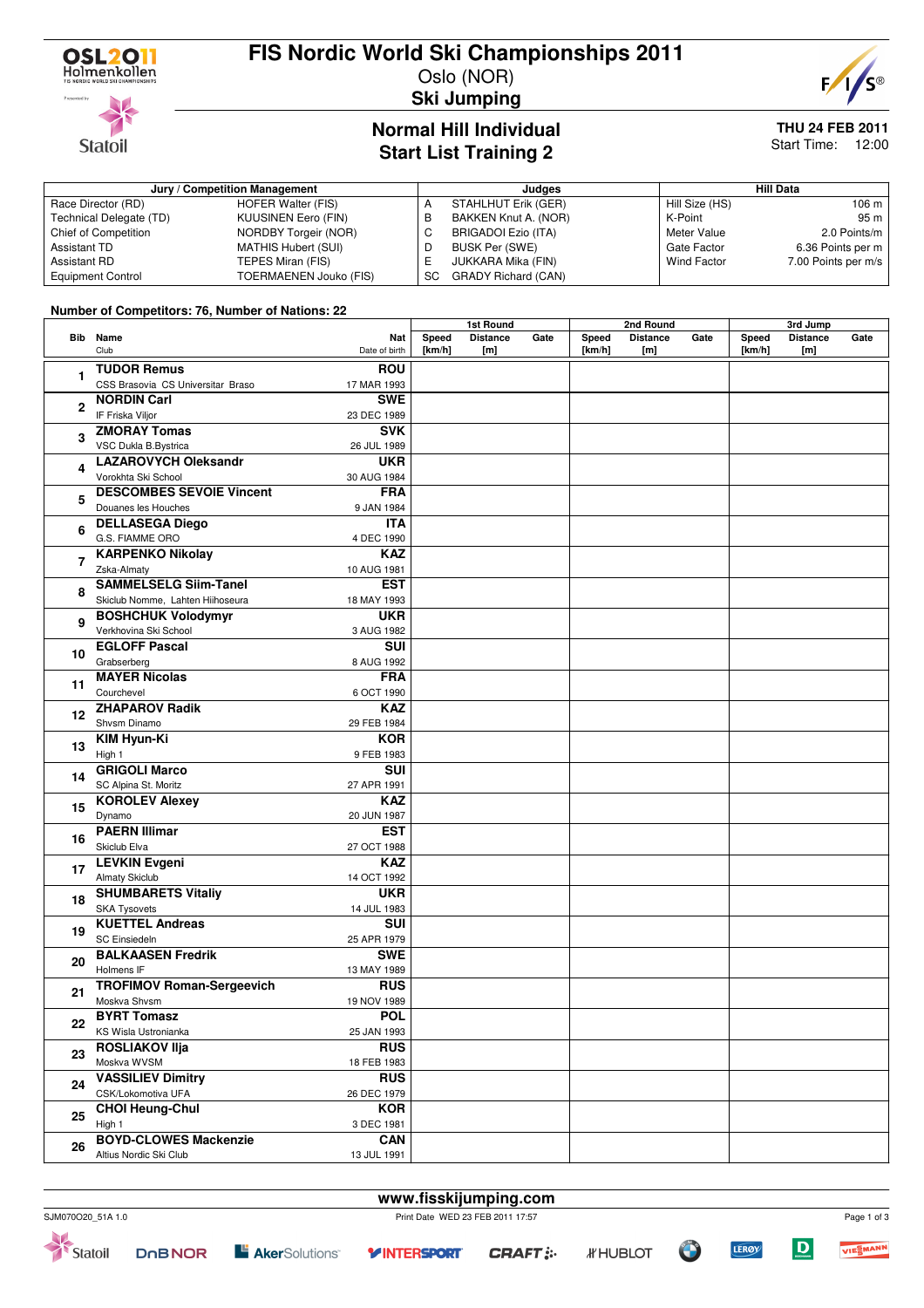

### **FIS Nordic World Ski Championships 2011**

Oslo (NOR)



**Ski Jumping**

#### **Normal Hill Individual Start List Training 2**

# **THU 24 FEB 2011**

Start Time: 12:00

#### **Jury / Competition Management Judges Hill Data** Race Director (RD) HOFER Walter (FIS)<br>Technical Delegate (TD) KUUSINEN Eero (FIN) Technical Delegate (TD) Chief of Competition NORDBY Torgeir (NOR) Assistant TD MATHIS Hubert (SUI)<br>Assistant RD TEPES Miran (FIS) TEPES Miran (FIS) Equipment Control TOERMAENEN Jouko (FIS) A STAHLHUT Erik (GER)<br>B BAKKEN Knut A. (NOR B BAKKEN Knut A. (NOR)<br>C BRIGADOI Ezio (ITA) BRIGADOI Ezio (ITA) D BUSK Per (SWE)<br>E JUKKARA Mika (F JUKKARA Mika (FIN) SC GRADY Richard (CAN) Hill Size (HS) 106 m<br>K-Point 95 m K-Point<br>Meter Value 2.0 Points/m Gate Factor 6.36 Points per m<br>Wind Factor 7.00 Points per m/s 7.00 Points per m/s

#### **Number of Competitors: 76, Number of Nations: 22**

|              |                                   |                                    | 1st Round |                 | 2nd Round |        |                 | 3rd Jump |        |                 |      |
|--------------|-----------------------------------|------------------------------------|-----------|-----------------|-----------|--------|-----------------|----------|--------|-----------------|------|
|              | <b>Bib</b> Name                   | Nat                                | Speed     | <b>Distance</b> | Gate      | Speed  | <b>Distance</b> | Gate     | Speed  | <b>Distance</b> | Gate |
|              | Club                              | Date of birth                      | [km/h]    | [m]             |           | [km/h] | [m]             |          | [km/h] | [m]             |      |
|              | <b>TUDOR Remus</b>                | <b>ROU</b>                         |           |                 |           |        |                 |          |        |                 |      |
| 1            | CSS Brasovia CS Universitar Braso | 17 MAR 1993                        |           |                 |           |        |                 |          |        |                 |      |
|              |                                   | <b>SWE</b>                         |           |                 |           |        |                 |          |        |                 |      |
| $\mathbf{2}$ | <b>NORDIN Carl</b>                |                                    |           |                 |           |        |                 |          |        |                 |      |
|              | IF Friska Viljor                  | 23 DEC 1989                        |           |                 |           |        |                 |          |        |                 |      |
| 3            | <b>ZMORAY Tomas</b>               | <b>SVK</b>                         |           |                 |           |        |                 |          |        |                 |      |
|              | VSC Dukla B.Bystrica              | 26 JUL 1989                        |           |                 |           |        |                 |          |        |                 |      |
|              | <b>LAZAROVYCH Oleksandr</b>       | <b>UKR</b>                         |           |                 |           |        |                 |          |        |                 |      |
| 4            | Vorokhta Ski School               | 30 AUG 1984                        |           |                 |           |        |                 |          |        |                 |      |
| 5            | <b>DESCOMBES SEVOIE Vincent</b>   | <b>FRA</b>                         |           |                 |           |        |                 |          |        |                 |      |
|              | Douanes les Houches               | 9 JAN 1984                         |           |                 |           |        |                 |          |        |                 |      |
|              | <b>DELLASEGA Diego</b>            | <b>ITA</b>                         |           |                 |           |        |                 |          |        |                 |      |
| 6            | G.S. FIAMME ORO                   |                                    |           |                 |           |        |                 |          |        |                 |      |
|              |                                   | 4 DEC 1990                         |           |                 |           |        |                 |          |        |                 |      |
| 7            | <b>KARPENKO Nikolay</b>           | <b>KAZ</b>                         |           |                 |           |        |                 |          |        |                 |      |
|              | Zska-Almaty                       | 10 AUG 1981                        |           |                 |           |        |                 |          |        |                 |      |
| 8            | <b>SAMMELSELG Siim-Tanel</b>      | <b>EST</b>                         |           |                 |           |        |                 |          |        |                 |      |
|              | Skiclub Nomme, Lahten Hiihoseura  | 18 MAY 1993                        |           |                 |           |        |                 |          |        |                 |      |
| 9            | <b>BOSHCHUK Volodymyr</b>         | <b>UKR</b>                         |           |                 |           |        |                 |          |        |                 |      |
|              | Verkhovina Ski School             | 3 AUG 1982                         |           |                 |           |        |                 |          |        |                 |      |
| 10           | <b>EGLOFF Pascal</b>              | $\overline{\overline{\text{SUI}}}$ |           |                 |           |        |                 |          |        |                 |      |
|              | Grabserberg                       | 8 AUG 1992                         |           |                 |           |        |                 |          |        |                 |      |
| 11           | <b>MAYER Nicolas</b>              | <b>FRA</b>                         |           |                 |           |        |                 |          |        |                 |      |
|              | Courchevel                        | 6 OCT 1990                         |           |                 |           |        |                 |          |        |                 |      |
| 12           | <b>ZHAPAROV Radik</b>             | <b>KAZ</b>                         |           |                 |           |        |                 |          |        |                 |      |
|              | Shysm Dinamo                      | 29 FEB 1984                        |           |                 |           |        |                 |          |        |                 |      |
| 13           | <b>KIM Hyun-Ki</b>                | <b>KOR</b>                         |           |                 |           |        |                 |          |        |                 |      |
|              | High 1                            |                                    |           |                 |           |        |                 |          |        |                 |      |
|              |                                   | 9 FEB 1983                         |           |                 |           |        |                 |          |        |                 |      |
| 14           | <b>GRIGOLI Marco</b>              | SUI                                |           |                 |           |        |                 |          |        |                 |      |
|              | SC Alpina St. Moritz              | 27 APR 1991                        |           |                 |           |        |                 |          |        |                 |      |
| 15           | <b>KOROLEV Alexey</b>             | <b>KAZ</b>                         |           |                 |           |        |                 |          |        |                 |      |
|              | Dynamo                            | 20 JUN 1987                        |           |                 |           |        |                 |          |        |                 |      |
| 16           | <b>PAERN Illimar</b>              | EST                                |           |                 |           |        |                 |          |        |                 |      |
|              | Skiclub Elva                      | 27 OCT 1988                        |           |                 |           |        |                 |          |        |                 |      |
| 17           | <b>LEVKIN Evgeni</b>              | <b>KAZ</b>                         |           |                 |           |        |                 |          |        |                 |      |
|              | <b>Almaty Skiclub</b>             | 14 OCT 1992                        |           |                 |           |        |                 |          |        |                 |      |
| 18           | <b>SHUMBARETS Vitaliy</b>         | <b>UKR</b>                         |           |                 |           |        |                 |          |        |                 |      |
|              | <b>SKA Tysovets</b>               | 14 JUL 1983                        |           |                 |           |        |                 |          |        |                 |      |
| 19           | <b>KUETTEL Andreas</b>            | <b>SUI</b>                         |           |                 |           |        |                 |          |        |                 |      |
|              | <b>SC Einsiedeln</b>              | 25 APR 1979                        |           |                 |           |        |                 |          |        |                 |      |
| 20           | <b>BALKAASEN Fredrik</b>          | <b>SWE</b>                         |           |                 |           |        |                 |          |        |                 |      |
|              | Holmens IF                        | 13 MAY 1989                        |           |                 |           |        |                 |          |        |                 |      |
| 21           | <b>TROFIMOV Roman-Sergeevich</b>  | <b>RUS</b>                         |           |                 |           |        |                 |          |        |                 |      |
|              |                                   |                                    |           |                 |           |        |                 |          |        |                 |      |
|              | Moskva Shvsm                      | 19 NOV 1989                        |           |                 |           |        |                 |          |        |                 |      |
| 22<br>23     | <b>BYRT Tomasz</b>                | <b>POL</b>                         |           |                 |           |        |                 |          |        |                 |      |
|              | KS Wisla Ustronianka              | 25 JAN 1993                        |           |                 |           |        |                 |          |        |                 |      |
|              | <b>ROSLIAKOV IIja</b>             | <b>RUS</b>                         |           |                 |           |        |                 |          |        |                 |      |
|              | Moskva WVSM                       | 18 FEB 1983                        |           |                 |           |        |                 |          |        |                 |      |
| 24           | <b>VASSILIEV Dimitry</b>          | <b>RUS</b>                         |           |                 |           |        |                 |          |        |                 |      |
|              | CSK/Lokomotiva UFA                | 26 DEC 1979                        |           |                 |           |        |                 |          |        |                 |      |
| 25           | <b>CHOI Heung-Chul</b>            | <b>KOR</b>                         |           |                 |           |        |                 |          |        |                 |      |
|              | High 1                            | 3 DEC 1981                         |           |                 |           |        |                 |          |        |                 |      |
|              | <b>BOYD-CLOWES Mackenzie</b>      | <b>CAN</b>                         |           |                 |           |        |                 |          |        |                 |      |
| 26           | Altius Nordic Ski Club            | 13 JUL 1991                        |           |                 |           |        |                 |          |        |                 |      |



Statoil

**DOBNOR** 

**E Aker**Solutions<sup>®</sup>

**CRAFT:** 

**Y INTERSPORT** 



 $\mathbf D$ 

**LEROY**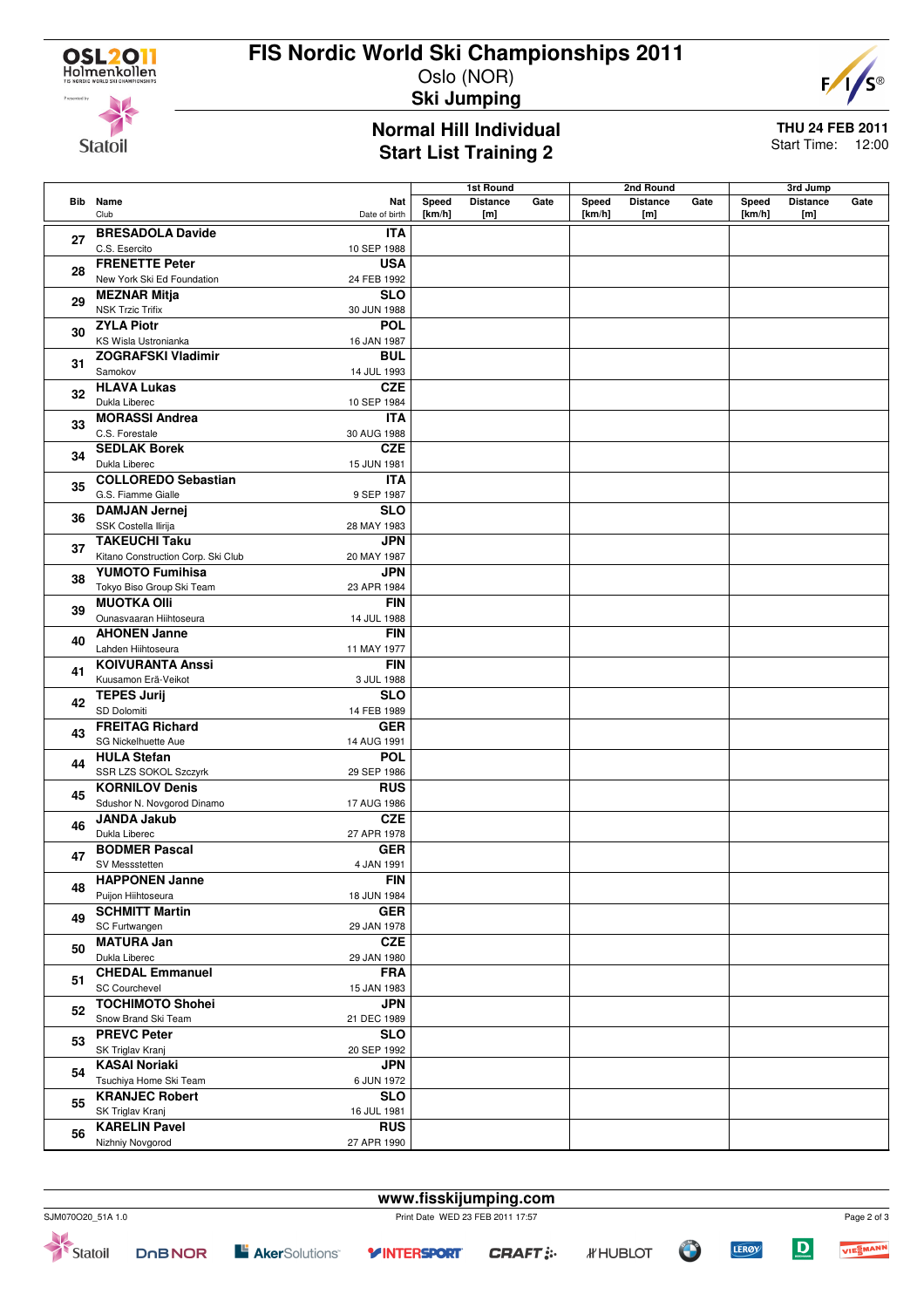## **FIS Nordic World Ski Championships 2011**



#### Oslo (NOR) **Ski Jumping**

#### **Normal Hill Individual Start List Training 2**

**THU 24 FEB 2011** Start Time: 12:00

**Bib Name** Club **Nat** Date of birth **1st Round Speed Distance Gate [km/h] [m] 2nd Round Speed Distance Gate [km/h] [m] 3rd Jump Speed Distance Gate [km/h] [m] <sup>27</sup> BRESADOLA Davide** C.S. Esercito **ITA** 10 SEP 1988 **<sup>28</sup> FRENETTE Peter** New York Ski Ed Foundation **USA** 24 FEB 1992 **<sup>29</sup> MEZNAR Mitja** NSK Trzic Trifix **SLO** 30 JUN 1988 **<sup>30</sup> ZYLA Piotr** KS Wisla Ustronianka **POL** 16 JAN 1987 **<sup>31</sup> ZOGRAFSKI Vladimir** Samokov **BUL** 14 JUL 1993 **<sup>32</sup> HLAVA Lukas** Dukla Liberec **CZE** 10 SEP 1984 **<sup>33</sup> MORASSI Andrea** C.S. Forestale **ITA** 30 AUG 1988 **<sup>34</sup> SEDLAK Borek** Dukla Liberec **CZE** 15 JUN 1981 **<sup>35</sup> COLLOREDO Sebastian** G.S. Fiamme Gialle **ITA** 9 SEP 1987 **<sup>36</sup> DAMJAN Jernej** SSK Costella Ilirija **SLO** 28 MAY 1983 **<sup>37</sup> TAKEUCHI Taku** Kitano Construction Corp. Ski Club **JPN** 20 MAY 1987 **<sup>38</sup> YUMOTO Fumihisa** Tokyo Biso Group Ski Team **JPN** 23 APR 1984 **<sup>39</sup> MUOTKA Olli** Ounasvaaran Hiihtoseura **FIN** 14 JUL 1988 **<sup>40</sup> AHONEN Janne** Lahden Hiihtoseura **FIN** 11 MAY 1977 **<sup>41</sup> KOIVURANTA Anssi** Kuusamon Erä-Veikot **FIN** 3 JUL 1988 **<sup>42</sup> TEPES Jurij** SD Dolomiti **SLO** 14 FEB 1989 **<sup>43</sup> FREITAG Richard** SG Nickelhuette Aue **GER** 14 AUG 1991 **<sup>44</sup> HULA Stefan** SSR LZS SOKOL Szczyrk **POL** 29 SEP 1986 **<sup>45</sup> KORNILOV Denis** Sdushor N. Novgorod Dinamo **RUS** 17 AUG 1986 **<sup>46</sup> JANDA Jakub** Dukla Liberec **CZE** 27 APR 1978 **<sup>47</sup> BODMER Pascal** SV Messstetten **GER** 4 JAN 1991 **<sup>48</sup> HAPPONEN Janne** Puijon Hiihtoseura **FIN** 18 JUN 1984 **<sup>49</sup> SCHMITT Martin** SC Furtwangen **GER** 29 JAN 1978 **<sup>50</sup> MATURA Jan** Dukla Liberec **CZE** 29 JAN 1980 **<sup>51</sup> CHEDAL Emmanuel** SC Courchevel **FRA** 15 JAN 1983 **<sup>52</sup> TOCHIMOTO Shohei** Snow Brand Ski Team **JPN** 21 DEC 1989 **<sup>53</sup> PREVC Peter** SK Triglav Kranj **SLO** 20 SEP 1992 **<sup>54</sup> KASAI Noriaki** Tsuchiya Home Ski Team **JPN** 6 JUN 1972 **<sup>55</sup> KRANJEC Robert** SK Triglav Kranj **SLO** 16 JUL 1981 **<sup>56</sup> KARELIN Pavel** Nizhniy Novgorod **RUS** 27 APR 1990